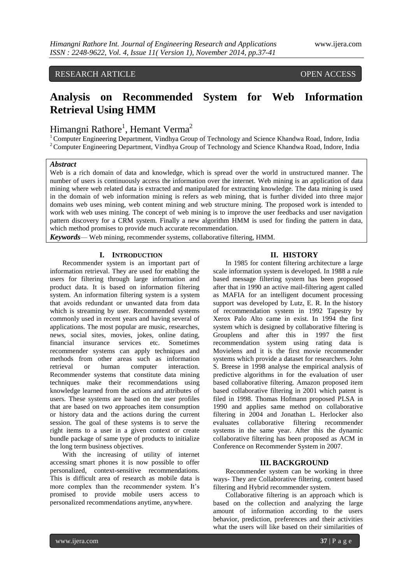# RESEARCH ARTICLE OPEN ACCESS

# **Analysis on Recommended System for Web Information Retrieval Using HMM**

# Himangni Rathore<sup>1</sup>, Hemant Verma<sup>2</sup>

<sup>1</sup> Computer Engineering Department, Vindhya Group of Technology and Science Khandwa Road, Indore, India <sup>2</sup> Computer Engineering Department, Vindhya Group of Technology and Science Khandwa Road, Indore, India

## *Abstract*

Web is a rich domain of data and knowledge, which is spread over the world in unstructured manner. The number of users is continuously access the information over the internet. Web mining is an application of data mining where web related data is extracted and manipulated for extracting knowledge. The data mining is used in the domain of web information mining is refers as web mining, that is further divided into three major domains web uses mining, web content mining and web structure mining. The proposed work is intended to work with web uses mining. The concept of web mining is to improve the user feedbacks and user navigation pattern discovery for a CRM system. Finally a new algorithm HMM is used for finding the pattern in data, which method promises to provide much accurate recommendation.

*Keywords*— Web mining, recommender systems, collaborative filtering, HMM.

### **I. INTRODUCTION**

Recommender system is an important part of information retrieval. They are used for enabling the users for filtering through large information and product data. It is based on information filtering system. An information filtering system is a system that avoids redundant or unwanted data from data which is streaming by user. Recommended systems commonly used in recent years and having several of applications. The most popular are music, researches, news, social sites, movies, jokes, online dating, financial insurance services etc. Sometimes recommender systems can apply techniques and methods from other areas such as information retrieval or human computer interaction. Recommender systems that constitute data mining techniques make their recommendations using knowledge learned from the actions and attributes of users. These systems are based on the user profiles that are based on two approaches item consumption or history data and the actions during the current session. The goal of these systems is to serve the right items to a user in a given context or create bundle package of same type of products to initialize the long term business objectives.

With the increasing of utility of internet accessing smart phones it is now possible to offer personalized, context-sensitive recommendations. This is difficult area of research as mobile data is more complex than the recommender system. It's promised to provide mobile users access to personalized recommendations anytime, anywhere.

#### **II. HISTORY**

In 1985 for content filtering architecture a large scale information system is developed. In 1988 a rule based message filtering system has been proposed after that in 1990 an active mail-filtering agent called as MAFIA for an intelligent document processing support was developed by Lutz, E. R. In the history of recommendation system in 1992 Tapestry by Xerox Palo Alto came in exist. In 1994 the first system which is designed by collaborative filtering is Grouplens and after this in 1997 the first recommendation system using rating data is Movielens and it is the first movie recommender systems which provide a dataset for researchers. John S. Breese in 1998 analyse the empirical analysis of predictive algorithms in for the evaluation of user based collaborative filtering. Amazon proposed item based collaborative filtering in 2001 which patent is filed in 1998. Thomas Hofmann proposed PLSA in 1990 and applies same method on collaborative filtering in 2004 and Jonathan L. Herlocker also evaluates collaborative filtering recommender systems in the same year. After this the dynamic collaborative filtering has been proposed as ACM in Conference on Recommender System in 2007.

#### **III. BACKGROUND**

Recommender system can be working in three ways- They are Collaborative filtering, content based filtering and Hybrid recommender system.

Collaborative filtering is an approach which is based on the collection and analyzing the large amount of information according to the users behavior, prediction, preferences and their activities what the users will like based on their similarities of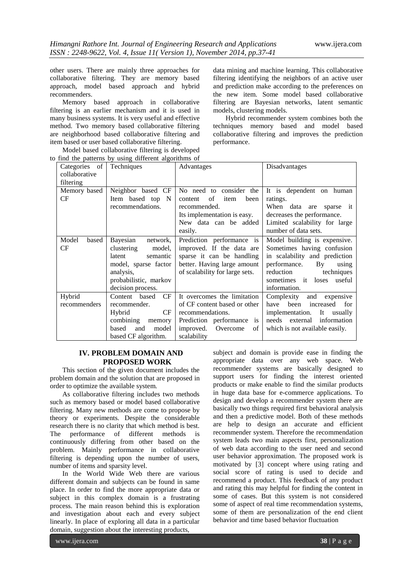other users. There are mainly three approaches for collaborative filtering. They are memory based approach, model based approach and hybrid recommenders.

Memory based approach in collaborative filtering is an earlier mechanism and it is used in many business systems. It is very useful and effective method. Two memory based collaborative filtering are neighborhood based collaborative filtering and item based or user based collaborative filtering.

data mining and machine learning. This collaborative filtering identifying the neighbors of an active user and prediction make according to the preferences on the new item. Some model based collaborative filtering are Bayesian networks, latent semantic models, clustering models.

Hybrid recommender system combines both the techniques memory based and model based collaborative filtering and improves the prediction performance.

| Categories of          | Techniques                                                                                                                                            | Advantages                                                                                                                                                 | Disadvantages                                                                                                                                                                                                             |
|------------------------|-------------------------------------------------------------------------------------------------------------------------------------------------------|------------------------------------------------------------------------------------------------------------------------------------------------------------|---------------------------------------------------------------------------------------------------------------------------------------------------------------------------------------------------------------------------|
| collaborative          |                                                                                                                                                       |                                                                                                                                                            |                                                                                                                                                                                                                           |
| filtering              |                                                                                                                                                       |                                                                                                                                                            |                                                                                                                                                                                                                           |
| Memory based<br>CF     | Neighbor based CF<br>Item based top N<br>recommendations.                                                                                             | No need to consider the<br>of<br>content<br>item<br>been<br>recommended.<br>Its implementation is easy.<br>New data can be added<br>easily.                | It is dependent on human<br>ratings.<br>When data are sparse it<br>decreases the performance.<br>Limited scalability for large<br>number of data sets.                                                                    |
| Model<br>based<br>CF   | Bayesian<br>network,<br>clustering<br>model,<br>latent<br>semantic<br>model, sparse factor<br>analysis,<br>probabilistic, markov<br>decision process. | Prediction performance is<br>improved. If the data are<br>sparse it can be handling<br>better. Having large amount<br>of scalability for large sets.       | Model building is expensive.<br>Sometimes having confusion<br>in scalability and prediction<br>performance.<br>$\mathbf{B}\mathbf{v}$<br>using<br>reduction<br>techniques<br>sometimes it loses<br>useful<br>information. |
| Hybrid<br>recommenders | CF<br>based<br>Content<br>recommender.<br>CF<br>Hybrid<br>combining<br>memory<br>based<br>model<br>and<br>based CF algorithm.                         | It overcomes the limitation<br>of CF content based or other<br>recommendations.<br>Prediction performance is<br>improved.<br>Overcome<br>of<br>scalability | Complexity<br>and<br>expensive<br>been<br>have<br>increased<br>for<br>implementation.<br>It usually<br>needs external<br>information<br>which is not available easily.                                                    |

Model based collaborative filtering is developed to find the patterns by using different algorithms of

# **IV. PROBLEM DOMAIN AND PROPOSED WORK**

This section of the given document includes the problem domain and the solution that are proposed in order to optimize the available system.

As collaborative filtering includes two methods such as memory based or model based collaborative filtering. Many new methods are come to propose by theory or experiments. Despite the considerable research there is no clarity that which method is best. The performance of different methods is continuously differing from other based on the problem. Mainly performance in collaborative filtering is depending upon the number of users, number of items and sparsity level.

In the World Wide Web there are various different domain and subjects can be found in same place. In order to find the more appropriate data or subject in this complex domain is a frustrating process. The main reason behind this is exploration and investigation about each and every subject linearly. In place of exploring all data in a particular domain, suggestion about the interesting products,

subject and domain is provide ease in finding the appropriate data over any web space. Web recommender systems are basically designed to support users for finding the interest oriented products or make enable to find the similar products in huge data base for e-commerce applications. To design and develop a recommender system there are basically two things required first behavioral analysis and then a predictive model. Both of these methods are help to design an accurate and efficient recommender system. Therefore the recommendation system leads two main aspects first, personalization of web data according to the user need and second user behavior approximation. The proposed work is motivated by [3] concept where using rating and social score of rating is used to decide and recommend a product. This feedback of any product and rating this may helpful for finding the content in some of cases. But this system is not considered some of aspect of real time recommendation systems, some of them are personalization of the end client behavior and time based behavior fluctuation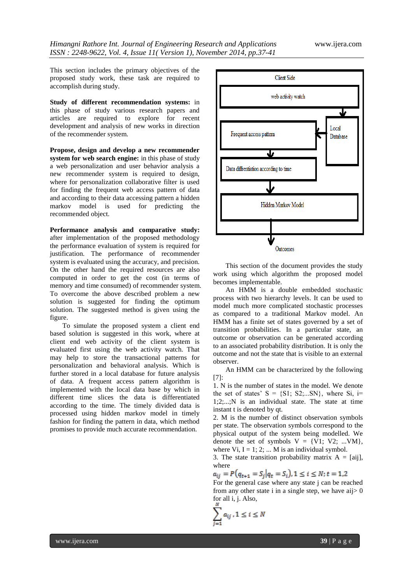This section includes the primary objectives of the proposed study work, these task are required to accomplish during study.

**Study of different recommendation systems:** in this phase of study various research papers and articles are required to explore for recent development and analysis of new works in direction of the recommender system.

**Propose, design and develop a new recommender system for web search engine:** in this phase of study a web personalization and user behavior analysis a new recommender system is required to design, where for personalization collaborative filter is used for finding the frequent web access pattern of data and according to their data accessing pattern a hidden markov model is used for predicting the recommended object.

**Performance analysis and comparative study:** after implementation of the proposed methodology the performance evaluation of system is required for justification. The performance of recommender system is evaluated using the accuracy, and precision. On the other hand the required resources are also computed in order to get the cost (in terms of memory and time consumed) of recommender system. To overcome the above described problem a new solution is suggested for finding the optimum solution. The suggested method is given using the figure.

To simulate the proposed system a client end based solution is suggested in this work, where at client end web activity of the client system is evaluated first using the web activity watch. That may help to store the transactional patterns for personalization and behavioral analysis. Which is further stored in a local database for future analysis of data. A frequent access pattern algorithm is implemented with the local data base by which in different time slices the data is differentiated according to the time. The timely divided data is processed using hidden markov model in timely fashion for finding the pattern in data, which method promises to provide much accurate recommendation.



This section of the document provides the study work using which algorithm the proposed model becomes implementable.

An HMM is a double embedded stochastic process with two hierarchy levels. It can be used to model much more complicated stochastic processes as compared to a traditional Markov model. An HMM has a finite set of states governed by a set of transition probabilities. In a particular state, an outcome or observation can be generated according to an associated probability distribution. It is only the outcome and not the state that is visible to an external observer.

An HMM can be characterized by the following [7]:

1. N is the number of states in the model. We denote the set of states'  $S = \{S1, S2, ... SN\}$ , where  $Si$ , i= 1;2;...;N is an individual state. The state at time instant t is denoted by qt.

2. M is the number of distinct observation symbols per state. The observation symbols correspond to the physical output of the system being modelled. We denote the set of symbols  $V = \{V1; V2; ... VM\}$ , where  $Vi, I = 1; 2; \dots M$  is an individual symbol.

3. The state transition probability matrix  $A = [a_{ij}]$ , where

 $a_{ii} = P(q_{t+1} = S_i | q_t = S_i), 1 \le i \le N; t = 1,2$ For the general case where any state j can be reached from any other state i in a single step, we have aij  $> 0$ for all i, j. Also,

$$
\sum_{j=1}^n a_{ij}, 1 \le i \le N
$$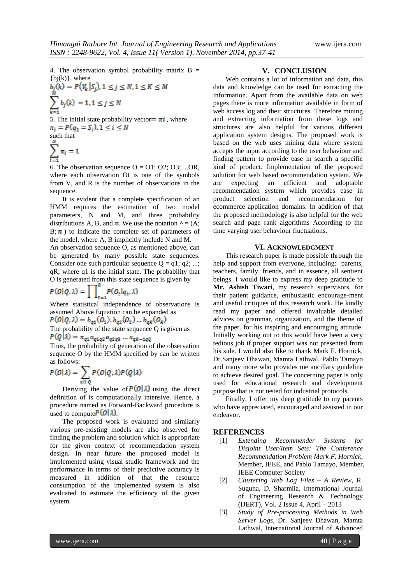4. The observation symbol probability matrix  $B =$  ${bj(k)}$ , where

$$
b_j(k) = P(V_k | S_j), 1 \le j \le N, 1 \le K \le M
$$
  

$$
\sum_{k=1}^{M} b_j(k) = 1, 1 \le j \le N
$$

5. The initial state probability vector  $= \pi i$ , where  $\pi_i = P(q_1 = S_i), 1 \leq i \leq N$ such that

$$
\sum_{i=1}^N \pi_i = 1
$$

6. The observation sequence  $O = O1$ ;  $O2$ ;  $O3$ ; ...OR, where each observation Ot is one of the symbols from V, and R is the number of observations in the sequence.

It is evident that a complete specification of an HMM requires the estimation of two model parameters, N and M, and three probability distributions A, B, and  $\pi$ . We use the notation  $\lambda = (A;$  $B; \pi$ ) to indicate the complete set of parameters of the model, where A, B implicitly include N and M.

An observation sequence O, as mentioned above, can be generated by many possible state sequences. Consider one such particular sequence  $Q = q1$ ;  $q2$ ; ...; qR; where q1 is the initial state. The probability that O is generated from this state sequence is given by

$$
P(O|Q,\lambda) = \prod_{t=1}^{k} P(O_t|q_t,\lambda)
$$

Where statistical independence of observations is assumed Above Equation can be expanded as

$$
P(O|Q, \lambda) = b_{q1}(O_1), b_{q2}(O_2), \dots, b_{qR}(O_R)
$$

The probability of the state sequence Q is given as  $P(Q|\lambda) = \pi_{q1} a_{q1q2} a_{q2q3} ... a_{qR-1qQ}$ 

Thus, the probability of generation of the observation sequence O by the HMM specified by can be written as follows:

$$
P(O|\lambda) = \sum_{\alpha \parallel Q} P(O|Q,\lambda) P(Q|\lambda)
$$

Deriving the value of  $P(O|\lambda)$  using the direct definition of is computationally intensive. Hence, a procedure named as Forward-Backward procedure is used to compute  $P(O|\lambda)$ .

The proposed work is evaluated and similarly various pre-existing models are also observed for finding the problem and solution which is appropriate for the given context of recommendation system design. In near future the proposed model is implemented using visual studio framework and the performance in terms of their predictive accuracy is measured in addition of that the resource consumption of the implemented system is also evaluated to estimate the efficiency of the given system.

#### **V. CONCLUSION**

Web contains a lot of information and data, this data and knowledge can be used for extracting the information. Apart from the available data on web pages there is more information available in form of web access log and their structures. Therefore mining and extracting information from these logs and structures are also helpful for various different application system designs. The proposed work is based on the web uses mining data where system accepts the input according to the user behaviour and finding pattern to provide ease in search a specific kind of product. Implementation of the proposed solution for web based recommendation system. We are expecting an efficient and adoptable recommendation system which provides ease in product selection and recommendation for ecommerce application domains. In addition of that the proposed methodology is also helpful for the web search and page rank algorithms According to the time varying user behaviour fluctuations.

#### **VI. ACKNOWLEDGMENT**

This research paper is made possible through the help and support from everyone, including: parents, teachers, family, friends, and in essence, all sentient beings. I would like to express my deep gratitude to **Mr. Ashish Tiwari**, my research supervisors, for their patient guidance, enthusiastic encourage-ment and useful critiques of this research work. He kindly read my paper and offered invaluable detailed advices on grammar, organization, and the theme of the paper. for his inspiring and encouraging attitude. Initially working out to this would have been a very tedious job if proper support was not presented from his side. I would also like to thank Mark F. Hornick, Dr.Sanjeev Dhawan, Mamta Lathwal, Pablo Tamayo and many more who provides me ancillary guideline to achieve desired goal. The concerning paper is only used for educational research and development purpose that is not tested for industrial protocols.

Finally, I offer my deep gratitude to my parents who have appreciated, encouraged and assisted in our endeavor.

## **REFERENCES**

- [1] *Extending Recommender Systems for Disjoint User/Item Sets: The Conference Recommendation Problem Mark F. Hornick*, Member, IEEE, and Pablo Tamayo, Member, IEEE Computer Society
- [2] *Clustering Web Log Files – A Review*, R. Suguna, D. Sharmila, International Journal of Engineering Research & Technology (IJERT), Vol. 2 Issue 4, April – 2013
- [3] *Study of Pre-processing Methods in Web Server Logs*, Dr. Sanjeev Dhawan, Mamta Lathwal, International Journal of Advanced